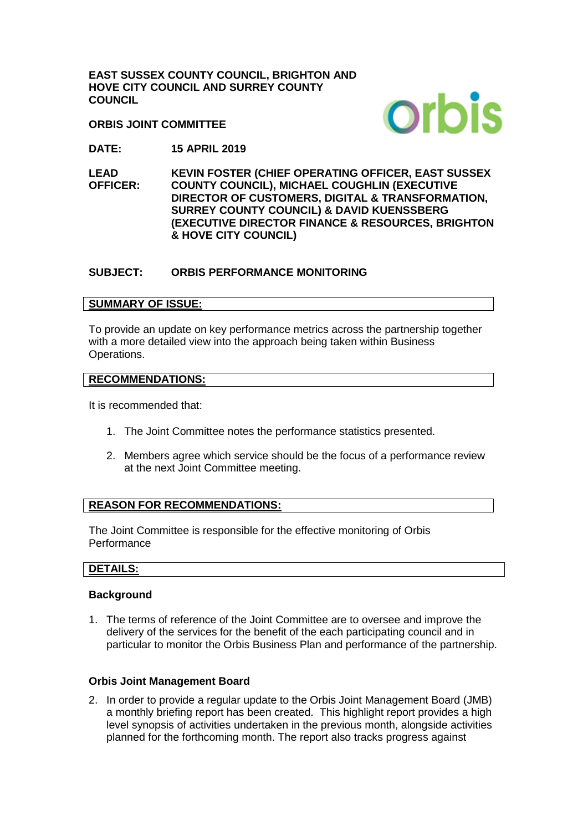**EAST SUSSEX COUNTY COUNCIL, BRIGHTON AND HOVE CITY COUNCIL AND SURREY COUNTY COUNCIL**

**ORBIS JOINT COMMITTEE**



**DATE: 15 APRIL 2019**

**LEAD OFFICER: KEVIN FOSTER (CHIEF OPERATING OFFICER, EAST SUSSEX COUNTY COUNCIL), MICHAEL COUGHLIN (EXECUTIVE DIRECTOR OF CUSTOMERS, DIGITAL & TRANSFORMATION, SURREY COUNTY COUNCIL) & DAVID KUENSSBERG (EXECUTIVE DIRECTOR FINANCE & RESOURCES, BRIGHTON & HOVE CITY COUNCIL)** 

#### **SUBJECT: ORBIS PERFORMANCE MONITORING**

#### **SUMMARY OF ISSUE:**

To provide an update on key performance metrics across the partnership together with a more detailed view into the approach being taken within Business Operations.

#### **RECOMMENDATIONS:**

It is recommended that:

- 1. The Joint Committee notes the performance statistics presented.
- 2. Members agree which service should be the focus of a performance review at the next Joint Committee meeting.

#### **REASON FOR RECOMMENDATIONS:**

The Joint Committee is responsible for the effective monitoring of Orbis **Performance** 

#### **DETAILS:**

#### **Background**

1. The terms of reference of the Joint Committee are to oversee and improve the delivery of the services for the benefit of the each participating council and in particular to monitor the Orbis Business Plan and performance of the partnership.

#### **Orbis Joint Management Board**

2. In order to provide a regular update to the Orbis Joint Management Board (JMB) a monthly briefing report has been created. This highlight report provides a high level synopsis of activities undertaken in the previous month, alongside activities planned for the forthcoming month. The report also tracks progress against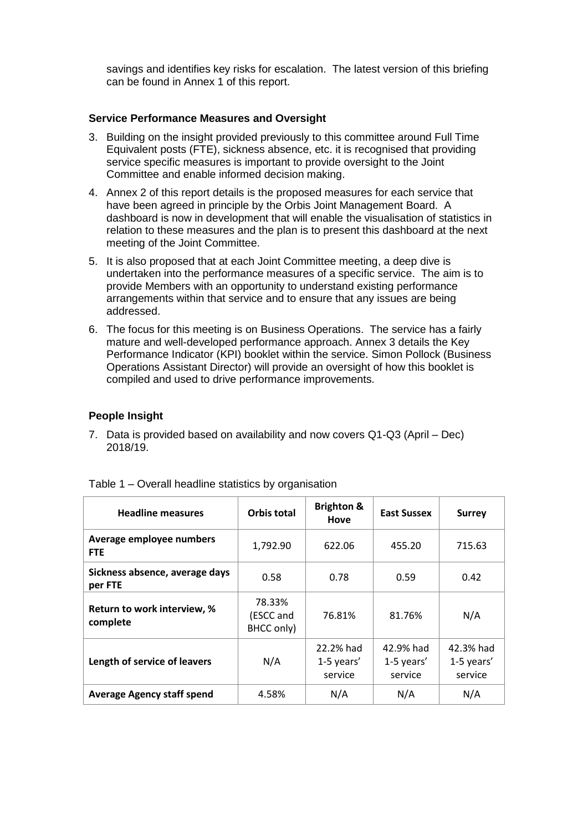savings and identifies key risks for escalation. The latest version of this briefing can be found in Annex 1 of this report.

#### **Service Performance Measures and Oversight**

- 3. Building on the insight provided previously to this committee around Full Time Equivalent posts (FTE), sickness absence, etc. it is recognised that providing service specific measures is important to provide oversight to the Joint Committee and enable informed decision making.
- 4. Annex 2 of this report details is the proposed measures for each service that have been agreed in principle by the Orbis Joint Management Board. A dashboard is now in development that will enable the visualisation of statistics in relation to these measures and the plan is to present this dashboard at the next meeting of the Joint Committee.
- 5. It is also proposed that at each Joint Committee meeting, a deep dive is undertaken into the performance measures of a specific service. The aim is to provide Members with an opportunity to understand existing performance arrangements within that service and to ensure that any issues are being addressed.
- 6. The focus for this meeting is on Business Operations. The service has a fairly mature and well-developed performance approach. Annex 3 details the Key Performance Indicator (KPI) booklet within the service. Simon Pollock (Business Operations Assistant Director) will provide an oversight of how this booklet is compiled and used to drive performance improvements.

#### **People Insight**

7. Data is provided based on availability and now covers Q1-Q3 (April – Dec) 2018/19.

| <b>Headline measures</b>                  | <b>Orbis total</b>                | <b>Brighton &amp;</b><br>Hove      | <b>East Sussex</b>                 | <b>Surrey</b>                      |
|-------------------------------------------|-----------------------------------|------------------------------------|------------------------------------|------------------------------------|
| Average employee numbers<br><b>FTE</b>    | 1,792.90                          | 622.06                             | 455.20                             |                                    |
| Sickness absence, average days<br>per FTE | 0.58                              | 0.78                               | 0.59                               | 0.42                               |
| Return to work interview, %<br>complete   | 78.33%<br>(ESCC and<br>BHCC only) | 76.81%                             | 81.76%                             | N/A                                |
| Length of service of leavers              | N/A                               | 22.2% had<br>1-5 years'<br>service | 42.9% had<br>1-5 years'<br>service | 42.3% had<br>1-5 years'<br>service |
| <b>Average Agency staff spend</b>         | 4.58%                             | N/A                                | N/A                                | N/A                                |

Table 1 – Overall headline statistics by organisation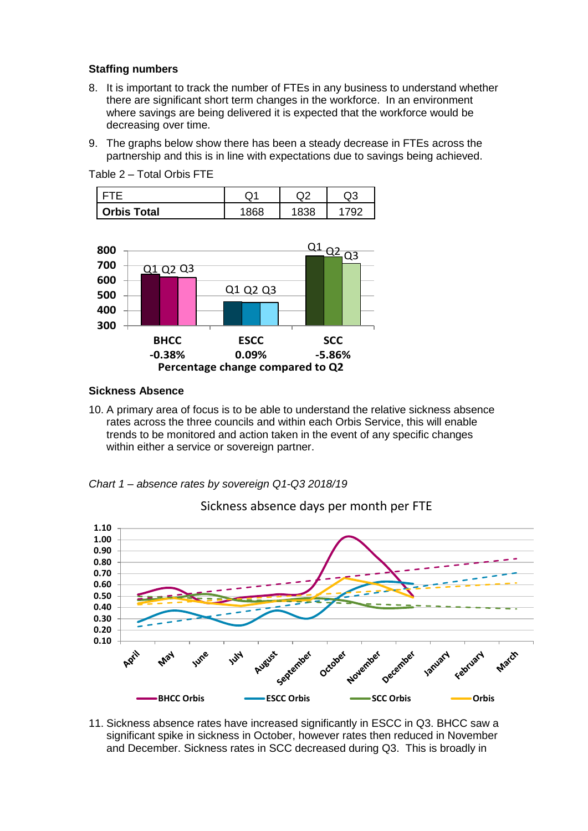#### **Staffing numbers**

- 8. It is important to track the number of FTEs in any business to understand whether there are significant short term changes in the workforce. In an environment where savings are being delivered it is expected that the workforce would be decreasing over time.
- 9. The graphs below show there has been a steady decrease in FTEs across the partnership and this is in line with expectations due to savings being achieved.

Table 2 – Total Orbis FTE

|                    | w | ົ |  |
|--------------------|---|---|--|
| <b>Orbis Total</b> |   |   |  |



#### **Sickness Absence**

10. A primary area of focus is to be able to understand the relative sickness absence rates across the three councils and within each Orbis Service, this will enable trends to be monitored and action taken in the event of any specific changes within either a service or sovereign partner.





Sickness absence days per month per FTE

11. Sickness absence rates have increased significantly in ESCC in Q3. BHCC saw a significant spike in sickness in October, however rates then reduced in November and December. Sickness rates in SCC decreased during Q3. This is broadly in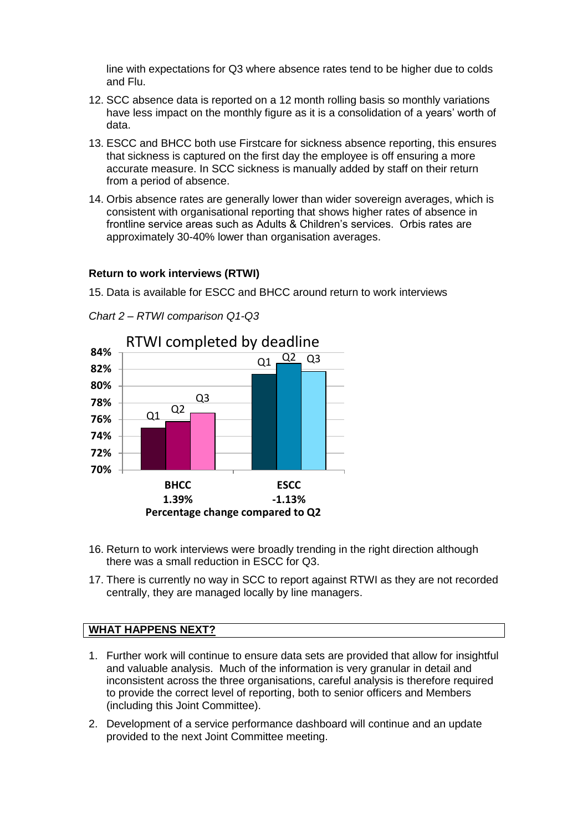line with expectations for Q3 where absence rates tend to be higher due to colds and Flu.

- 12. SCC absence data is reported on a 12 month rolling basis so monthly variations have less impact on the monthly figure as it is a consolidation of a years' worth of data.
- 13. ESCC and BHCC both use Firstcare for sickness absence reporting, this ensures that sickness is captured on the first day the employee is off ensuring a more accurate measure. In SCC sickness is manually added by staff on their return from a period of absence.
- 14. Orbis absence rates are generally lower than wider sovereign averages, which is consistent with organisational reporting that shows higher rates of absence in frontline service areas such as Adults & Children's services. Orbis rates are approximately 30-40% lower than organisation averages.

#### **Return to work interviews (RTWI)**

15. Data is available for ESCC and BHCC around return to work interviews





- 16. Return to work interviews were broadly trending in the right direction although there was a small reduction in ESCC for Q3.
- 17. There is currently no way in SCC to report against RTWI as they are not recorded centrally, they are managed locally by line managers.

#### **WHAT HAPPENS NEXT?**

- 1. Further work will continue to ensure data sets are provided that allow for insightful and valuable analysis. Much of the information is very granular in detail and inconsistent across the three organisations, careful analysis is therefore required to provide the correct level of reporting, both to senior officers and Members (including this Joint Committee).
- 2. Development of a service performance dashboard will continue and an update provided to the next Joint Committee meeting.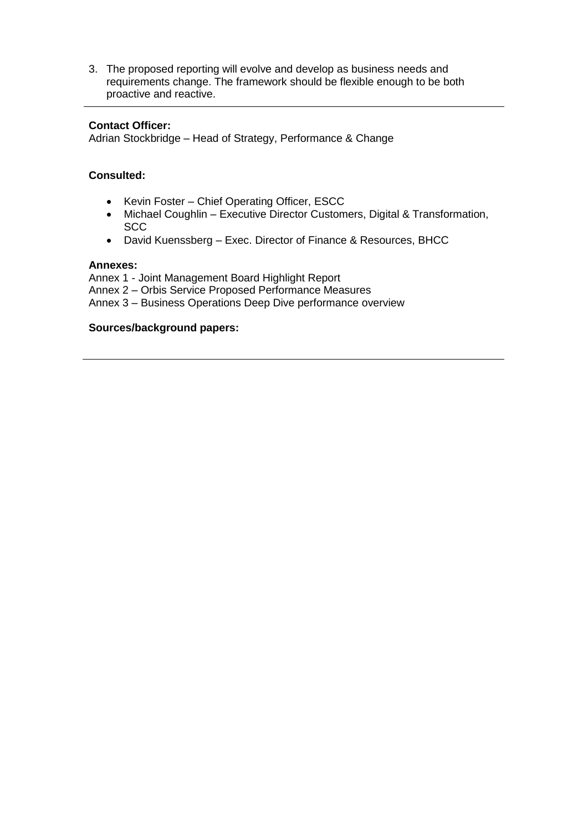3. The proposed reporting will evolve and develop as business needs and requirements change. The framework should be flexible enough to be both proactive and reactive.

#### **Contact Officer:**

Adrian Stockbridge – Head of Strategy, Performance & Change

#### **Consulted:**

- Kevin Foster Chief Operating Officer, ESCC
- Michael Coughlin Executive Director Customers, Digital & Transformation, **SCC**
- David Kuenssberg Exec. Director of Finance & Resources, BHCC

#### **Annexes:**

Annex 1 - Joint Management Board Highlight Report Annex 2 – Orbis Service Proposed Performance Measures Annex 3 – Business Operations Deep Dive performance overview

#### **Sources/background papers:**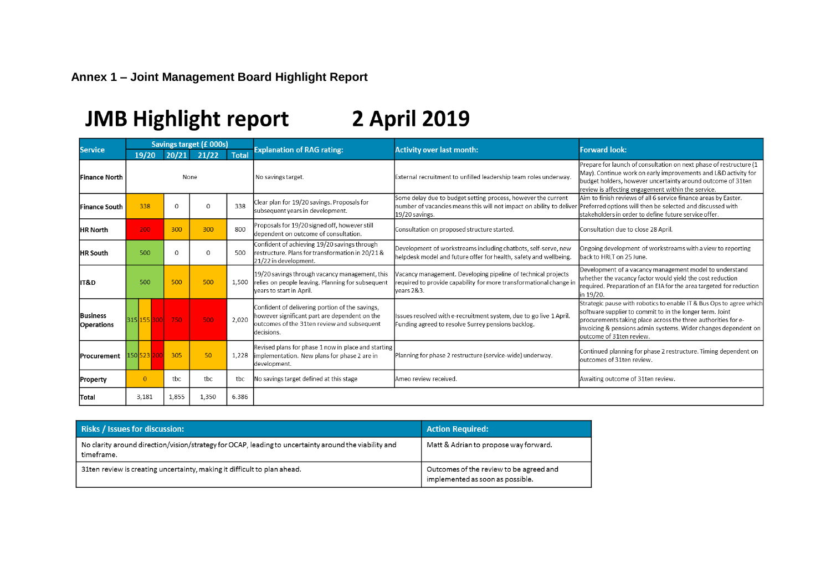# **Annex 1 – Joint Management Board Highlight Report**

# JMB Highlight report 2 April 2019

| <b>Service</b>                       | Savings target (£ 000s)  |                |             |              |                                                                                                                                                               |                                                                                                                                                         | <b>Forward look:</b>                                                                                                                                                                                                                                                                           |  |  |
|--------------------------------------|--------------------------|----------------|-------------|--------------|---------------------------------------------------------------------------------------------------------------------------------------------------------------|---------------------------------------------------------------------------------------------------------------------------------------------------------|------------------------------------------------------------------------------------------------------------------------------------------------------------------------------------------------------------------------------------------------------------------------------------------------|--|--|
|                                      | 19/20                    | 20/21<br>21/22 |             | <b>Total</b> | <b>Explanation of RAG rating:</b>                                                                                                                             | <b>Activity over last month:</b>                                                                                                                        |                                                                                                                                                                                                                                                                                                |  |  |
| <b>Finance North</b>                 |                          | None           |             |              | No savings target.                                                                                                                                            | External recruitment to unfilled leadership team roles underway.                                                                                        | Prepare for launch of consultation on next phase of restructure (1<br>May). Continue work on early improvements and L&D activity for<br>budget holders, however uncertainty around outcome of 31ten<br>review is affecting engagement within the service.                                      |  |  |
| <b>Finance South</b>                 | 338                      | $\Omega$       | $\Omega$    | 338          | Clear plan for 19/20 savings. Proposals for<br>subsequent years in development.                                                                               | Some delay due to budget setting process, however the current<br>number of vacancies means this will not impact on ability to deliver<br>19/20 savings. | Aim to finish reviews of all 6 service finance areas by Easter.<br>Preferred options will then be selected and discussed with<br>stakeholders in order to define future service offer.                                                                                                         |  |  |
| <b>HR North</b>                      | 200                      | 300            | 300         | 800          | Proposals for 19/20 signed off, however still<br>dependent on outcome of consultation.                                                                        | Consultation on proposed structure started.                                                                                                             | Consultation due to close 28 April.                                                                                                                                                                                                                                                            |  |  |
| <b>HR South</b>                      | 500                      | $\Omega$       | $\mathbf 0$ | 500          | Confident of achieving 19/20 savings through<br>restructure. Plans for transformation in 20/21 &<br>21/22 in development.                                     | Development of workstreams including chatbots, self-serve, new<br>helpdesk model and future offer for health, safety and wellbeing.                     | Ongoing development of workstreams with a view to reporting<br>back to HRLT on 25 June.                                                                                                                                                                                                        |  |  |
| lit&D                                | 500                      | 500            | 500         |              | 19/20 savings through vacancy management, this<br>1,500 relies on people leaving. Planning for subsequent<br>vears to start in April.                         | Vacancy management. Developing pipeline of technical projects<br>required to provide capability for more transformational change in<br>lvears 2&3.      | Development of a vacancy management model to understand<br>whether the vacancy factor would yield the cost reduction<br>required. Preparation of an EIA for the area targeted for reduction<br>in 19/20.                                                                                       |  |  |
| <b>Business</b><br><b>Operations</b> | 315 155 300 750          |                | 500         | 2,020        | Confident of delivering portion of the savings,<br>however significant part are dependent on the<br>outcomes of the 31ten review and subsequent<br>decisions. | Issues resolved with e-recruitment system, due to go live 1 April.<br>Funding agreed to resolve Surrey pensions backlog.                                | Strategic pause with robotics to enable IT & Bus Ops to agree which<br>software supplier to commit to in the longer term. Joint<br>procurements taking place across the three authorities for e-<br>invoicing & pensions admin systems. Wider changes dependent on<br>outcome of 31ten review. |  |  |
| Procurement                          | 150 <mark>523 200</mark> | 305            | 50          | 1,228        | Revised plans for phase 1 now in place and starting<br>implementation. New plans for phase 2 are in<br>development.                                           | Planning for phase 2 restructure (service-wide) underway.                                                                                               | Continued planning for phase 2 restructure. Timing dependent on<br>outcomes of 31ten review.                                                                                                                                                                                                   |  |  |
| Property                             | $\Omega$                 | tbc            | tbc         | tbc          | No savings target defined at this stage                                                                                                                       | lAmeo review received.                                                                                                                                  | Awaiting outcome of 31ten review.                                                                                                                                                                                                                                                              |  |  |
| lTotal                               | 3,181                    | 1,855          | 1,350       | 6.386        |                                                                                                                                                               |                                                                                                                                                         |                                                                                                                                                                                                                                                                                                |  |  |

| <b>Risks / Issues for discussion:</b>                                                                               | <b>Action Required:</b>                                                     |
|---------------------------------------------------------------------------------------------------------------------|-----------------------------------------------------------------------------|
| No clarity around direction/vision/strategy for OCAP, leading to uncertainty around the viability and<br>timeframe. | Matt & Adrian to propose way forward.                                       |
| 31ten review is creating uncertainty, making it difficult to plan ahead.                                            | Outcomes of the review to be agreed and<br>implemented as soon as possible. |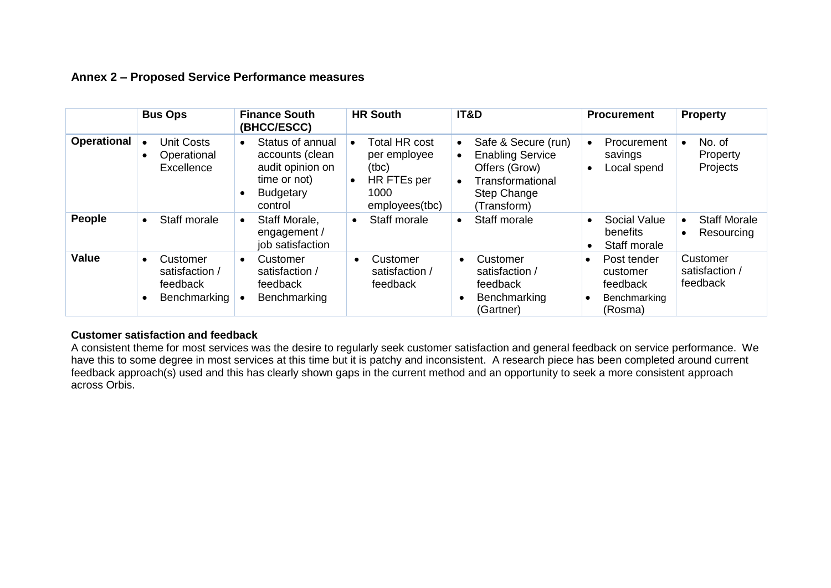### **Annex 2 – Proposed Service Performance measures**

|                    | <b>Bus Ops</b>                                                                   | <b>HR South</b><br><b>Finance South</b><br>(BHCC/ESCC)                                                              |                                                                                                     | IT&D                                                                                                                                                            | <b>Procurement</b>                                                                        | <b>Property</b>                        |  |
|--------------------|----------------------------------------------------------------------------------|---------------------------------------------------------------------------------------------------------------------|-----------------------------------------------------------------------------------------------------|-----------------------------------------------------------------------------------------------------------------------------------------------------------------|-------------------------------------------------------------------------------------------|----------------------------------------|--|
| <b>Operational</b> | <b>Unit Costs</b><br>Operational<br>$\bullet$<br>Excellence                      | Status of annual<br>$\bullet$<br>accounts (clean<br>audit opinion on<br>time or not)<br><b>Budgetary</b><br>control | <b>Total HR cost</b><br>per employee<br>(tbc)<br>HR FTEs per<br>$\bullet$<br>1000<br>employees(tbc) | Safe & Secure (run)<br>$\bullet$<br><b>Enabling Service</b><br>$\bullet$<br>Offers (Grow)<br>Transformational<br>$\bullet$<br><b>Step Change</b><br>(Transform) | Procurement<br>savings<br>Local spend                                                     | No. of<br>Property<br>Projects         |  |
| People             | Staff morale<br>$\bullet$                                                        | Staff Morale,<br>$\bullet$<br>engagement /<br>job satisfaction                                                      | Staff morale<br>$\bullet$                                                                           | Staff morale<br>$\bullet$                                                                                                                                       | Social Value<br>benefits<br>Staff morale                                                  | <b>Staff Morale</b><br>Resourcing      |  |
| <b>Value</b>       | Customer<br>$\bullet$<br>satisfaction /<br>feedback<br>Benchmarking<br>$\bullet$ | Customer<br>$\bullet$<br>satisfaction /<br>feedback<br>Benchmarking                                                 | Customer<br>$\bullet$<br>satisfaction /<br>feedback                                                 | Customer<br>$\bullet$<br>satisfaction /<br>feedback<br>Benchmarking<br>$\bullet$<br>(Gartner)                                                                   | Post tender<br>$\bullet$<br>customer<br>feedback<br>Benchmarking<br>$\epsilon$<br>(Rosma) | Customer<br>satisfaction /<br>feedback |  |

#### **Customer satisfaction and feedback**

A consistent theme for most services was the desire to regularly seek customer satisfaction and general feedback on service performance. We have this to some degree in most services at this time but it is patchy and inconsistent. A research piece has been completed around current feedback approach(s) used and this has clearly shown gaps in the current method and an opportunity to seek a more consistent approach across Orbis.